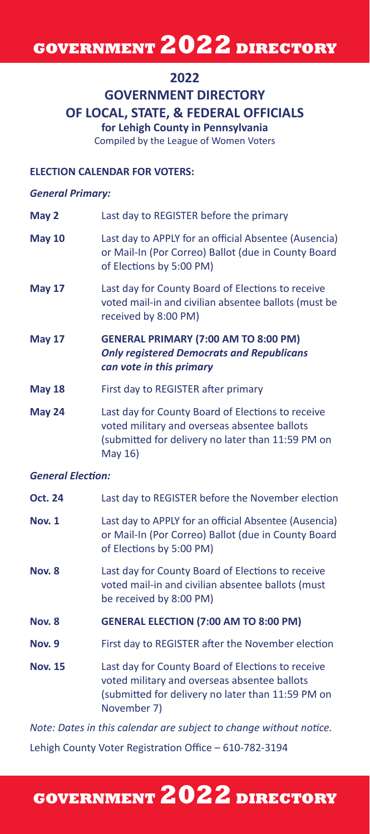# **GOVERNMENT 2022 DIRECTORY**

#### **2022**

### **GOVERNMENT DIRECTORY OF LOCAL, STATE, & FEDERAL OFFICIALS**

**for Lehigh County in Pennsylvania** Compiled by the League of Women Voters

#### **ELECTION CALENDAR FOR VOTERS:**

#### *General Primary:*

| May 2                    | Last day to REGISTER before the primary                                                                                                                           |
|--------------------------|-------------------------------------------------------------------------------------------------------------------------------------------------------------------|
| <b>May 10</b>            | Last day to APPLY for an official Absentee (Ausencia)<br>or Mail-In (Por Correo) Ballot (due in County Board<br>of Elections by 5:00 PM)                          |
| <b>May 17</b>            | Last day for County Board of Elections to receive<br>voted mail-in and civilian absentee ballots (must be<br>received by 8:00 PM)                                 |
| <b>May 17</b>            | <b>GENERAL PRIMARY (7:00 AM TO 8:00 PM)</b><br><b>Only registered Democrats and Republicans</b><br>can vote in this primary                                       |
| <b>May 18</b>            | First day to REGISTER after primary                                                                                                                               |
| May 24                   | Last day for County Board of Elections to receive<br>voted military and overseas absentee ballots<br>(submitted for delivery no later than 11:59 PM on<br>May 16) |
| <b>General Election:</b> |                                                                                                                                                                   |

### **Oct. 24** Last day to REGISTER before the November election **Nov. 1** Last day to APPLY for an official Absentee (Ausencia) or Mail-In (Por Correo) Ballot (due in County Board of Elections by 5:00 PM) **Nov. 8** Last day for County Board of Elections to receive voted mail-in and civilian absentee ballots (must be received by 8:00 PM) **Nov. 8 GENERAL ELECTION (7:00 AM TO 8:00 PM) Nov. 9** First day to REGISTER after the November election **Nov. 15** Last day for County Board of Elections to receive voted military and overseas absentee ballots (submitted for delivery no later than 11:59 PM on November 7) *Note: Dates in this calendar are subject to change without notice.*

Lehigh County Voter Registration Office – 610-782-3194

# **GOVERNMENT 2022 DIRECTORY**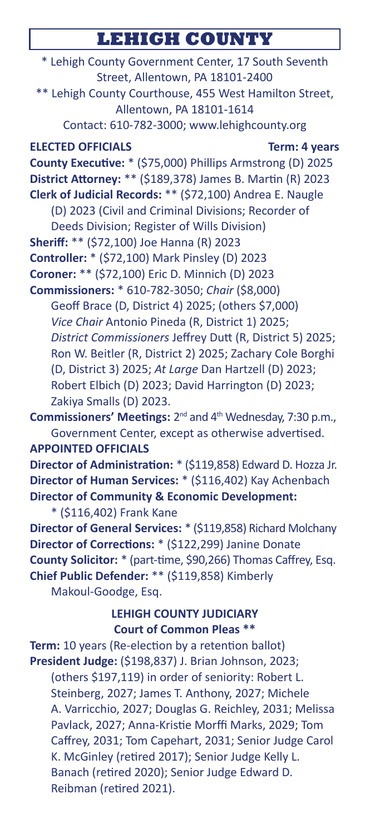### **LEHIGH COUNTY**

\* Lehigh County Government Center, 17 South Seventh Street, Allentown, PA 18101-2400 \*\* Lehigh County Courthouse, 455 West Hamilton Street, Allentown, PA 18101-1614 Contact: 610-782-3000; www.lehighcounty.org **ELECTED OFFICIALS** Term: 4 years **County Executive:** \* (\$75,000) Phillips Armstrong (D) 2025 **District Attorney:** \*\* (\$189,378) James B. Martin (R) 2023 **Clerk of Judicial Records:** \*\* (\$72,100) Andrea E. Naugle (D) 2023 (Civil and Criminal Divisions; Recorder of Deeds Division; Register of Wills Division) **Sheriff:** \*\* (\$72,100) Joe Hanna (R) 2023 **Controller:** \* (\$72,100) Mark Pinsley (D) 2023 **Coroner:** \*\* (\$72,100) Eric D. Minnich (D) 2023 **Commissioners:** \* 610-782-3050; *Chair* (\$8,000) Geoff Brace (D, District 4) 2025; (others \$7,000) *Vice Chair* Antonio Pineda (R, District 1) 2025; *District Commissioners* Jeffrey Dutt (R, District 5) 2025; Ron W. Beitler (R, District 2) 2025; Zachary Cole Borghi (D, District 3) 2025; *At Large* Dan Hartzell (D) 2023; Robert Elbich (D) 2023; David Harrington (D) 2023; Zakiya Smalls (D) 2023. **Commissioners' Meetings:** 2<sup>nd</sup> and 4<sup>th</sup> Wednesday, 7:30 p.m., Government Center, except as otherwise advertised. **APPOINTED OFFICIALS Director of Administration:** \* (\$119,858) Edward D. Hozza Jr. **Director of Human Services:** \* (\$116,402) Kay Achenbach **Director of Community & Economic Development:** \* (\$116,402) Frank Kane **Director of General Services:** \* (\$119,858) Richard Molchany **Director of Corrections:** \* (\$122,299) Janine Donate **County Solicitor:** \* (part-time, \$90,266) Thomas Caffrey, Esq. **Chief Public Defender:** \*\* (\$119,858) Kimberly Makoul-Goodge, Esq. **LEHIGH COUNTY JUDICIARY Court of Common Pleas \*\* Term:** 10 years (Re-election by a retention ballot) **President Judge:** (\$198,837) J. Brian Johnson, 2023; (others \$197,119) in order of seniority: Robert L. Steinberg, 2027; James T. Anthony, 2027; Michele A. Varricchio, 2027; Douglas G. Reichley, 2031; Melissa Pavlack, 2027; Anna-Kristie Morffi Marks, 2029; Tom Caffrey, 2031; Tom Capehart, 2031; Senior Judge Carol K. McGinley (retired 2017); Senior Judge Kelly L. Banach (retired 2020); Senior Judge Edward D. Reibman (retired 2021).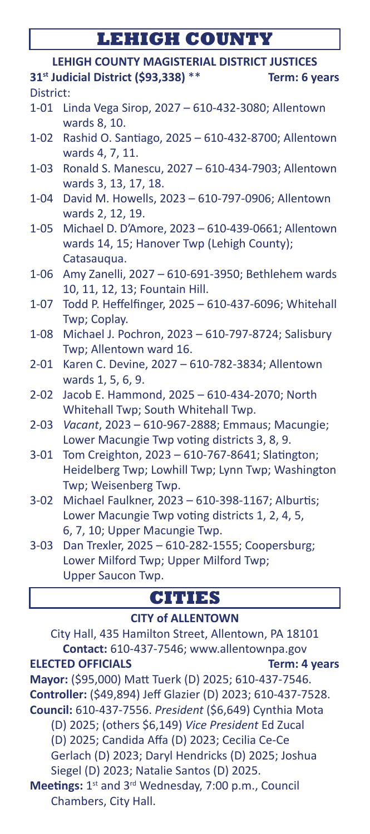# **LEHIGH COUNTY**

|           | LEHIGH COUNTY MAGISTERIAL DISTRICT JUSTICES                               |  |
|-----------|---------------------------------------------------------------------------|--|
|           | 31st Judicial District (\$93,338) **<br>Term: 6 years                     |  |
| District: |                                                                           |  |
|           | 1-01 Linda Vega Sirop, 2027 - 610-432-3080; Allentown                     |  |
|           | wards 8, 10.                                                              |  |
| $1 - 02$  | Rashid O. Santiago, 2025 - 610-432-8700; Allentown<br>wards 4, 7, 11.     |  |
| 1-03      | Ronald S. Manescu, 2027 - 610-434-7903; Allentown<br>wards 3, 13, 17, 18. |  |
| 1-04      | David M. Howells, 2023 - 610-797-0906; Allentown                          |  |
|           | wards 2, 12, 19.                                                          |  |
| $1 - 05$  | Michael D. D'Amore, 2023 - 610-439-0661; Allentown                        |  |
|           | wards 14, 15; Hanover Twp (Lehigh County);<br>Catasauqua.                 |  |
| $1 - 06$  | Amy Zanelli, 2027 - 610-691-3950; Bethlehem wards                         |  |
|           | 10, 11, 12, 13; Fountain Hill.                                            |  |
| $1 - 07$  | Todd P. Heffelfinger, 2025 - 610-437-6096; Whitehall                      |  |
|           | Twp; Coplay.                                                              |  |
| $1 - 08$  | Michael J. Pochron, 2023 - 610-797-8724; Salisbury                        |  |
|           | Twp; Allentown ward 16.                                                   |  |
| 2-01      | Karen C. Devine, 2027 - 610-782-3834; Allentown                           |  |
|           | wards 1, 5, 6, 9.                                                         |  |
| $2 - 02$  | Jacob E. Hammond, 2025 - 610-434-2070; North                              |  |
|           | Whitehall Twp; South Whitehall Twp.                                       |  |
| $2 - 03$  | Vacant, 2023 - 610-967-2888; Emmaus; Macungie;                            |  |
|           | Lower Macungie Twp voting districts 3, 8, 9.                              |  |
| $3 - 01$  | Tom Creighton, 2023 - 610-767-8641; Slatington;                           |  |
|           | Heidelberg Twp; Lowhill Twp; Lynn Twp; Washington                         |  |
|           | Twp; Weisenberg Twp.                                                      |  |
| $3 - 02$  | Michael Faulkner, 2023 - 610-398-1167; Alburtis;                          |  |
|           | Lower Macungie Twp voting districts 1, 2, 4, 5,                           |  |
|           | 6, 7, 10; Upper Macungie Twp.                                             |  |
| $3 - 03$  | Dan Trexler, 2025 - 610-282-1555; Coopersburg;                            |  |
|           | Lower Milford Twp; Upper Milford Twp;                                     |  |
|           | Upper Saucon Twp.                                                         |  |
|           | <b>CITIES</b>                                                             |  |
|           | <b>CITY of ALLENTOWN</b>                                                  |  |

City Hall, 435 Hamilton Street, Allentown, PA 18101 **Contact:** 610-437-7546; www.allentownpa.gov **ELECTED OFFICIALS** Term: 4 years **Mayor:** (\$95,000) Matt Tuerk (D) 2025; 610-437-7546. **Controller:** (\$49,894) Jeff Glazier (D) 2023; 610-437-7528. **Council:** 610-437-7556. *President* (\$6,649) Cynthia Mota (D) 2025; (others \$6,149) *Vice President* Ed Zucal (D) 2025; Candida Affa (D) 2023; Cecilia Ce-Ce Gerlach (D) 2023; Daryl Hendricks (D) 2025; Joshua Siegel (D) 2023; Natalie Santos (D) 2025. Meetings: 1<sup>st</sup> and 3<sup>rd</sup> Wednesday, 7:00 p.m., Council Chambers, City Hall.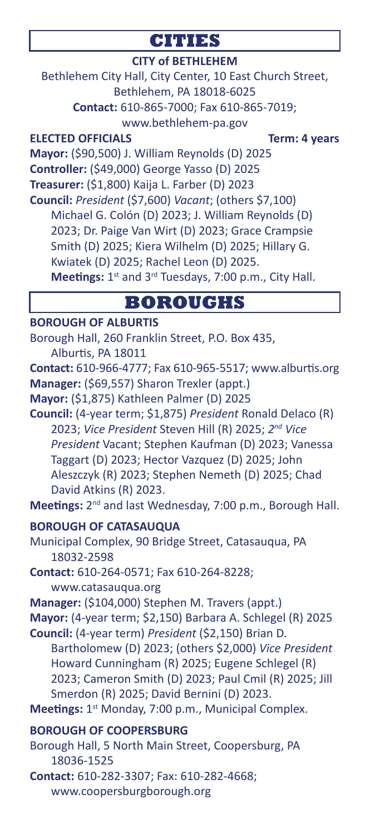### **CITIES**

### **CITY of BETHLEHEM**

Bethlehem City Hall, City Center, 10 East Church Street, Bethlehem, PA 18018-6025 **Contact:** 610-865-7000; Fax 610-865-7019; www.bethlehem-pa.gov

**ELECTED OFFICIALS** Term: 4 years **Mayor:** (\$90,500) J. William Reynolds (D) 2025 **Controller:** (\$49,000) George Yasso (D) 2025 **Treasurer:** (\$1,800) Kaija L. Farber (D) 2023 **Council:** *President* (\$7,600) *Vacant*; (others \$7,100) Michael G. Colón (D) 2023; J. William Reynolds (D) 2023; Dr. Paige Van Wirt (D) 2023; Grace Crampsie Smith (D) 2025; Kiera Wilhelm (D) 2025; Hillary G. Kwiatek (D) 2025; Rachel Leon (D) 2025.

Meetings: 1<sup>st</sup> and 3<sup>rd</sup> Tuesdays, 7:00 p.m., City Hall.

### **BOROUGHS**

#### **BOROUGH OF ALBURTIS**

Borough Hall, 260 Franklin Street, P.O. Box 435, Alburtis, PA 18011 **Contact:** 610-966-4777; Fax 610-965-5517; www.alburtis.org **Manager:** (\$69,557) Sharon Trexler (appt.) **Mayor:** (\$1,875) Kathleen Palmer (D) 2025 **Council:** (4-year term; \$1,875) *President* Ronald Delaco (R) 2023; *Vice President* Steven Hill (R) 2025; *2nd Vice President* Vacant; Stephen Kaufman (D) 2023; Vanessa Taggart (D) 2023; Hector Vazquez (D) 2025; John Aleszczyk (R) 2023; Stephen Nemeth (D) 2025; Chad David Atkins (R) 2023. **Meetings:** 2nd and last Wednesday, 7:00 p.m., Borough Hall. **BOROUGH OF CATASAUQUA** Municipal Complex, 90 Bridge Street, Catasauqua, PA 18032-2598 **Contact:** 610-264-0571; Fax 610-264-8228; www.catasauqua.org **Manager:** (\$104,000) Stephen M. Travers (appt.) **Mayor:** (4-year term; \$2,150) Barbara A. Schlegel (R) 2025 **Council:** (4-year term) *President* (\$2,150) Brian D. Bartholomew (D) 2023; (others \$2,000) *Vice President* Howard Cunningham (R) 2025; Eugene Schlegel (R) 2023; Cameron Smith (D) 2023; Paul Cmil (R) 2025; Jill Smerdon (R) 2025; David Bernini (D) 2023. **Meetings:** 1<sup>st</sup> Monday, 7:00 p.m., Municipal Complex. **BOROUGH OF COOPERSBURG** Borough Hall, 5 North Main Street, Coopersburg, PA 18036-1525 **Contact:** 610-282-3307; Fax: 610-282-4668; www.coopersburgborough.org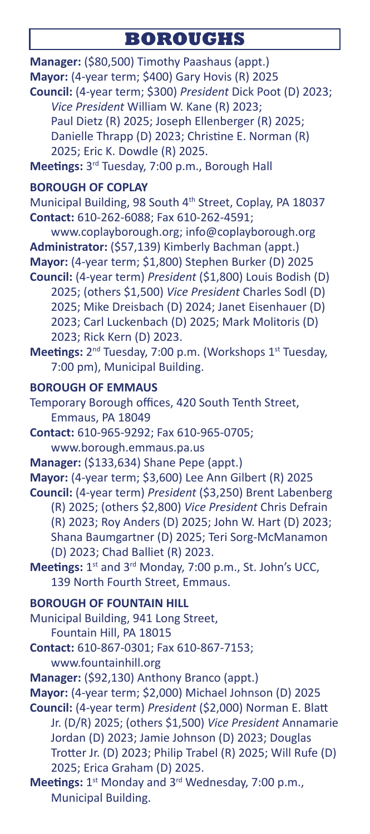## **BOROUGHS**

**Manager:** (\$80,500) Timothy Paashaus (appt.) **Mayor:** (4-year term; \$400) Gary Hovis (R) 2025 **Council:** (4-year term; \$300) *President* Dick Poot (D) 2023; *Vice President* William W. Kane (R) 2023; Paul Dietz (R) 2025; Joseph Ellenberger (R) 2025; Danielle Thrapp (D) 2023; Christine E. Norman (R)

2025; Eric K. Dowdle (R) 2025.

**Meetings:** 3rd Tuesday, 7:00 p.m., Borough Hall

### **BOROUGH OF COPLAY**

Municipal Building, 98 South 4<sup>th</sup> Street, Coplay, PA 18037 **Contact:** 610-262-6088; Fax 610-262-4591;

www.coplayborough.org; info@coplayborough.org **Administrator:** (\$57,139) Kimberly Bachman (appt.) **Mayor:** (4-year term; \$1,800) Stephen Burker (D) 2025

**Council:** (4-year term) *President* (\$1,800) Louis Bodish (D) 2025; (others \$1,500) *Vice President* Charles Sodl (D) 2025; Mike Dreisbach (D) 2024; Janet Eisenhauer (D) 2023; Carl Luckenbach (D) 2025; Mark Molitoris (D) 2023; Rick Kern (D) 2023.

Meetings: 2<sup>nd</sup> Tuesday, 7:00 p.m. (Workshops 1<sup>st</sup> Tuesday, 7:00 pm), Municipal Building.

### **BOROUGH OF EMMAUS**

Temporary Borough offices, 420 South Tenth Street, Emmaus, PA 18049

**Contact:** 610-965-9292; Fax 610-965-0705; www.borough.emmaus.pa.us

**Manager:** (\$133,634) Shane Pepe (appt.)

**Mayor:** (4-year term; \$3,600) Lee Ann Gilbert (R) 2025 **Council:** (4-year term) *President* (\$3,250) Brent Labenberg

(R) 2025; (others \$2,800) *Vice President* Chris Defrain (R) 2023; Roy Anders (D) 2025; John W. Hart (D) 2023; Shana Baumgartner (D) 2025; Teri Sorg-McManamon (D) 2023; Chad Balliet (R) 2023.

Meetings: 1<sup>st</sup> and 3<sup>rd</sup> Monday, 7:00 p.m., St. John's UCC, 139 North Fourth Street, Emmaus.

**BOROUGH OF FOUNTAIN HILL**

Municipal Building, 941 Long Street, Fountain Hill, PA 18015

**Contact:** 610-867-0301; Fax 610-867-7153; www.fountainhill.org

**Manager:** (\$92,130) Anthony Branco (appt.)

**Mayor:** (4-year term; \$2,000) Michael Johnson (D) 2025

**Council:** (4-year term) *President* (\$2,000) Norman E. Blatt Jr. (D/R) 2025; (others \$1,500) *Vice President* Annamarie Jordan (D) 2023; Jamie Johnson (D) 2023; Douglas Trotter Jr. (D) 2023; Philip Trabel (R) 2025; Will Rufe (D) 2025; Erica Graham (D) 2025.

**Meetings:** 1<sup>st</sup> Monday and 3<sup>rd</sup> Wednesday, 7:00 p.m., Municipal Building.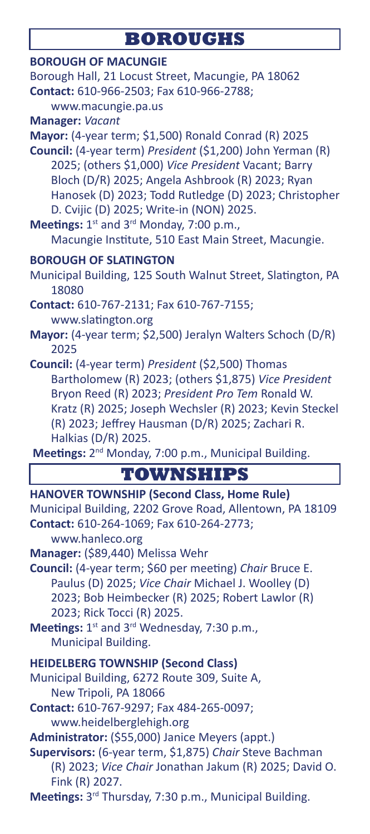# **BOROUGHS**

| <b>BOROUGH OF MACUNGIE</b><br>Borough Hall, 21 Locust Street, Macungie, PA 18062<br>Contact: 610-966-2503; Fax 610-966-2788;<br>www.macungie.pa.us<br>Manager: Vacant                                                                                                                                                                                                                                                                                                                     |
|-------------------------------------------------------------------------------------------------------------------------------------------------------------------------------------------------------------------------------------------------------------------------------------------------------------------------------------------------------------------------------------------------------------------------------------------------------------------------------------------|
| Mayor: (4-year term; \$1,500) Ronald Conrad (R) 2025<br>Council: (4-year term) President (\$1,200) John Yerman (R)<br>2025; (others \$1,000) Vice President Vacant; Barry<br>Bloch (D/R) 2025; Angela Ashbrook (R) 2023; Ryan<br>Hanosek (D) 2023; Todd Rutledge (D) 2023; Christopher<br>D. Cvijic (D) 2025; Write-in (NON) 2025.<br>Meetings: 1st and 3rd Monday, 7:00 p.m.,<br>Macungie Institute, 510 East Main Street, Macungie.                                                     |
| <b>BOROUGH OF SLATINGTON</b><br>Municipal Building, 125 South Walnut Street, Slatington, PA<br>18080                                                                                                                                                                                                                                                                                                                                                                                      |
| Contact: 610-767-2131; Fax 610-767-7155;<br>www.slatington.org<br>Mayor: (4-year term; \$2,500) Jeralyn Walters Schoch (D/R)                                                                                                                                                                                                                                                                                                                                                              |
| 2025<br>Council: (4-year term) President (\$2,500) Thomas<br>Bartholomew (R) 2023; (others \$1,875) Vice President<br>Bryon Reed (R) 2023; President Pro Tem Ronald W.<br>Kratz (R) 2025; Joseph Wechsler (R) 2023; Kevin Steckel<br>(R) 2023; Jeffrey Hausman (D/R) 2025; Zachari R.<br>Halkias (D/R) 2025.<br>Meetings: 2 <sup>nd</sup> Monday, 7:00 p.m., Municipal Building.                                                                                                          |
| <b>TOWNSHIPS</b>                                                                                                                                                                                                                                                                                                                                                                                                                                                                          |
| <b>HANOVER TOWNSHIP (Second Class, Home Rule)</b><br>Municipal Building, 2202 Grove Road, Allentown, PA 18109<br>Contact: 610-264-1069; Fax 610-264-2773;<br>www.hanleco.org<br>Manager: (\$89,440) Melissa Wehr<br>Council: (4-year term; \$60 per meeting) Chair Bruce E.<br>Paulus (D) 2025; Vice Chair Michael J. Woolley (D)<br>2023; Bob Heimbecker (R) 2025; Robert Lawlor (R)<br>2023; Rick Tocci (R) 2025.<br>Meetings: 1st and 3rd Wednesday, 7:30 p.m.,<br>Municipal Building. |
| <b>HEIDELBERG TOWNSHIP (Second Class)</b><br>Municipal Building, 6272 Route 309, Suite A,<br>New Tripoli, PA 18066<br>Contact: 610-767-9297; Fax 484-265-0097;<br>www.heidelberglehigh.org<br>Administrator: (\$55,000) Janice Meyers (appt.)<br>Supervisors: (6-year term, \$1,875) Chair Steve Bachman<br>(R) 2023; Vice Chair Jonathan Jakum (R) 2025; David O.<br>Fink (R) 2027.<br>Meetings: 3rd Thursday, 7:30 p.m., Municipal Building.                                            |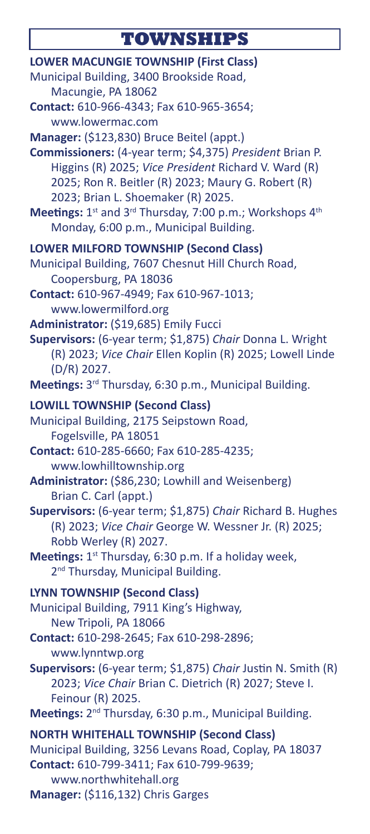# **TOWNSHIPS**

| <b>LOWER MACUNGIE TOWNSHIP (First Class)</b><br>Municipal Building, 3400 Brookside Road,<br>Macungie, PA 18062<br>Contact: 610-966-4343; Fax 610-965-3654;<br>www.lowermac.com<br>Manager: (\$123,830) Bruce Beitel (appt.)<br>Commissioners: (4-year term; \$4,375) President Brian P.<br>Higgins (R) 2025; Vice President Richard V. Ward (R)<br>2025; Ron R. Beitler (R) 2023; Maury G. Robert (R)<br>2023; Brian L. Shoemaker (R) 2025. |
|---------------------------------------------------------------------------------------------------------------------------------------------------------------------------------------------------------------------------------------------------------------------------------------------------------------------------------------------------------------------------------------------------------------------------------------------|
|                                                                                                                                                                                                                                                                                                                                                                                                                                             |
|                                                                                                                                                                                                                                                                                                                                                                                                                                             |
| Meetings: 1st and 3rd Thursday, 7:00 p.m.; Workshops 4th                                                                                                                                                                                                                                                                                                                                                                                    |
| Monday, 6:00 p.m., Municipal Building.                                                                                                                                                                                                                                                                                                                                                                                                      |
| <b>LOWER MILFORD TOWNSHIP (Second Class)</b><br>Municipal Building, 7607 Chesnut Hill Church Road,<br>Coopersburg, PA 18036                                                                                                                                                                                                                                                                                                                 |
| Contact: 610-967-4949; Fax 610-967-1013;<br>www.lowermilford.org                                                                                                                                                                                                                                                                                                                                                                            |
| Administrator: (\$19,685) Emily Fucci<br>Supervisors: (6-year term; \$1,875) Chair Donna L. Wright<br>(R) 2023; Vice Chair Ellen Koplin (R) 2025; Lowell Linde<br>(D/R) 2027.                                                                                                                                                                                                                                                               |
| Meetings: 3rd Thursday, 6:30 p.m., Municipal Building.                                                                                                                                                                                                                                                                                                                                                                                      |
| <b>LOWILL TOWNSHIP (Second Class)</b><br>Municipal Building, 2175 Seipstown Road,<br>Fogelsville, PA 18051<br>Contact: 610-285-6660; Fax 610-285-4235;<br>www.lowhilltownship.org                                                                                                                                                                                                                                                           |
| Administrator: (\$86,230; Lowhill and Weisenberg)<br>Brian C. Carl (appt.)                                                                                                                                                                                                                                                                                                                                                                  |
| Supervisors: (6-year term; \$1,875) Chair Richard B. Hughes<br>(R) 2023; Vice Chair George W. Wessner Jr. (R) 2025;<br>Robb Werley (R) 2027.                                                                                                                                                                                                                                                                                                |
| Meetings: 1st Thursday, 6:30 p.m. If a holiday week,<br>2 <sup>nd</sup> Thursday, Municipal Building.                                                                                                                                                                                                                                                                                                                                       |
| <b>LYNN TOWNSHIP (Second Class)</b><br>Municipal Building, 7911 King's Highway,<br>New Tripoli, PA 18066                                                                                                                                                                                                                                                                                                                                    |
| Contact: 610-298-2645; Fax 610-298-2896;<br>www.lynntwp.org                                                                                                                                                                                                                                                                                                                                                                                 |
| Supervisors: (6-year term; \$1,875) Chair Justin N. Smith (R)<br>2023; Vice Chair Brian C. Dietrich (R) 2027; Steve I.<br>Feinour (R) 2025.                                                                                                                                                                                                                                                                                                 |
| Meetings: 2 <sup>nd</sup> Thursday, 6:30 p.m., Municipal Building.                                                                                                                                                                                                                                                                                                                                                                          |
| <b>NORTH WHITEHALL TOWNSHIP (Second Class)</b><br>Municipal Building, 3256 Levans Road, Coplay, PA 18037<br>Contact: 610-799-3411; Fax 610-799-9639;<br>www.northwhitehall.org                                                                                                                                                                                                                                                              |

**Manager:** (\$116,132) Chris Garges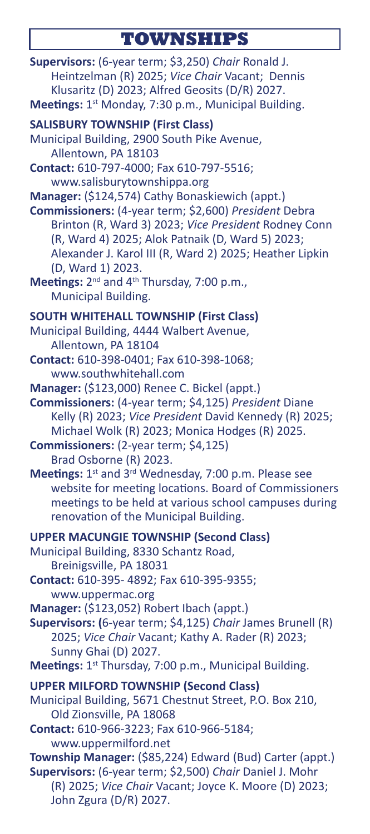## **TOWNSHIPS**

**Supervisors:** (6-year term; \$3,250) *Chair* Ronald J. Heintzelman (R) 2025; *Vice Chair* Vacant; Dennis Klusaritz (D) 2023; Alfred Geosits (D/R) 2027. **Meetings:** 1<sup>st</sup> Monday, 7:30 p.m., Municipal Building. **SALISBURY TOWNSHIP (First Class)** Municipal Building, 2900 South Pike Avenue, Allentown, PA 18103 **Contact:** 610-797-4000; Fax 610-797-5516; www.salisburytownshippa.org **Manager:** (\$124,574) Cathy Bonaskiewich (appt.) **Commissioners:** (4-year term; \$2,600) *President* Debra Brinton (R, Ward 3) 2023; *Vice President* Rodney Conn (R, Ward 4) 2025; Alok Patnaik (D, Ward 5) 2023; Alexander J. Karol III (R, Ward 2) 2025; Heather Lipkin (D, Ward 1) 2023. Meetings: 2<sup>nd</sup> and 4<sup>th</sup> Thursday, 7:00 p.m., Municipal Building. **SOUTH WHITEHALL TOWNSHIP (First Class)** Municipal Building, 4444 Walbert Avenue, Allentown, PA 18104 **Contact:** 610-398-0401; Fax 610-398-1068; www.southwhitehall.com **Manager:** (\$123,000) Renee C. Bickel (appt.) **Commissioners:** (4-year term; \$4,125) *President* Diane Kelly (R) 2023; *Vice President* David Kennedy (R) 2025; Michael Wolk (R) 2023; Monica Hodges (R) 2025. **Commissioners:** (2-year term; \$4,125) Brad Osborne (R) 2023. **Meetings:** 1<sup>st</sup> and 3<sup>rd</sup> Wednesday, 7:00 p.m. Please see website for meeting locations. Board of Commissioners meetings to be held at various school campuses during renovation of the Municipal Building. **UPPER MACUNGIE TOWNSHIP (Second Class)** Municipal Building, 8330 Schantz Road, Breinigsville, PA 18031 **Contact:** 610-395- 4892; Fax 610-395-9355; www.uppermac.org **Manager:** (\$123,052) Robert Ibach (appt.) **Supervisors: (**6-year term; \$4,125) *Chair* James Brunell (R) 2025; *Vice Chair* Vacant; Kathy A. Rader (R) 2023; Sunny Ghai (D) 2027. Meetings: 1<sup>st</sup> Thursday, 7:00 p.m., Municipal Building. **UPPER MILFORD TOWNSHIP (Second Class)** Municipal Building, 5671 Chestnut Street, P.O. Box 210, Old Zionsville, PA 18068 **Contact:** 610-966-3223; Fax 610-966-5184; www.uppermilford.net **Township Manager:** (\$85,224) Edward (Bud) Carter (appt.) **Supervisors:** (6-year term; \$2,500) *Chair* Daniel J. Mohr (R) 2025; *Vice Chair* Vacant; Joyce K. Moore (D) 2023; John Zgura (D/R) 2027.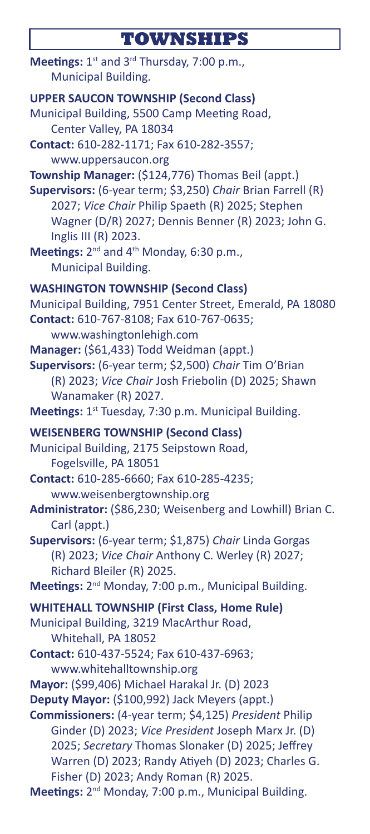# **TOWNSHIPS**

| Meetings: $1^{st}$ and $3^{rd}$ Thursday, 7:00 p.m.,<br>Municipal Building.                                                                                                                                                                                                                                            |
|------------------------------------------------------------------------------------------------------------------------------------------------------------------------------------------------------------------------------------------------------------------------------------------------------------------------|
| <b>UPPER SAUCON TOWNSHIP (Second Class)</b><br>Municipal Building, 5500 Camp Meeting Road,<br>Center Valley, PA 18034                                                                                                                                                                                                  |
| Contact: 610-282-1171; Fax 610-282-3557;<br>www.uppersaucon.org                                                                                                                                                                                                                                                        |
| Township Manager: (\$124,776) Thomas Beil (appt.)<br>Supervisors: (6-year term; \$3,250) Chair Brian Farrell (R)<br>2027; Vice Chair Philip Spaeth (R) 2025; Stephen<br>Wagner (D/R) 2027; Dennis Benner (R) 2023; John G.<br>Inglis III (R) 2023.<br>Meetings: 2 <sup>nd</sup> and 4 <sup>th</sup> Monday, 6:30 p.m., |
| Municipal Building.                                                                                                                                                                                                                                                                                                    |
| <b>WASHINGTON TOWNSHIP (Second Class)</b><br>Municipal Building, 7951 Center Street, Emerald, PA 18080<br>Contact: 610-767-8108; Fax 610-767-0635;<br>www.washingtonlehigh.com                                                                                                                                         |
| Manager: (\$61,433) Todd Weidman (appt.)<br>Supervisors: (6-year term; \$2,500) Chair Tim O'Brian<br>(R) 2023; Vice Chair Josh Friebolin (D) 2025; Shawn<br>Wanamaker (R) 2027.                                                                                                                                        |
| Meetings: 1st Tuesday, 7:30 p.m. Municipal Building.                                                                                                                                                                                                                                                                   |
| <b>WEISENBERG TOWNSHIP (Second Class)</b><br>Municipal Building, 2175 Seipstown Road,<br>Fogelsville, PA 18051<br>Contact: 610-285-6660; Fax 610-285-4235;<br>www.weisenbergtownship.org<br>Administrator: (\$86,230; Weisenberg and Lowhill) Brian C.                                                                 |
| Carl (appt.)<br>Supervisors: (6-year term; \$1,875) Chair Linda Gorgas<br>(R) 2023; Vice Chair Anthony C. Werley (R) 2027;<br>Richard Bleiler (R) 2025.<br>Meetings: 2 <sup>nd</sup> Monday, 7:00 p.m., Municipal Building.                                                                                            |
| <b>WHITEHALL TOWNSHIP (First Class, Home Rule)</b>                                                                                                                                                                                                                                                                     |
| Municipal Building, 3219 MacArthur Road,<br>Whitehall, PA 18052                                                                                                                                                                                                                                                        |
| <b>Contact:</b> 610-437-5524; Fax 610-437-6963;<br>www.whitehalltownship.org                                                                                                                                                                                                                                           |
| Mayor: (\$99,406) Michael Harakal Jr. (D) 2023                                                                                                                                                                                                                                                                         |
| Deputy Mayor: (\$100,992) Jack Meyers (appt.)<br>Commissioners: (4-year term; \$4,125) President Philip<br>Ginder (D) 2023; Vice President Joseph Marx Jr. (D)<br>2025; Secretary Thomas Slonaker (D) 2025; Jeffrey<br>Warren (D) 2023; Randy Atiyeh (D) 2023; Charles G.<br>Fisher (D) 2023; Andy Roman (R) 2025.     |
| Meetings: 2 <sup>nd</sup> Monday, 7:00 p.m., Municipal Building.                                                                                                                                                                                                                                                       |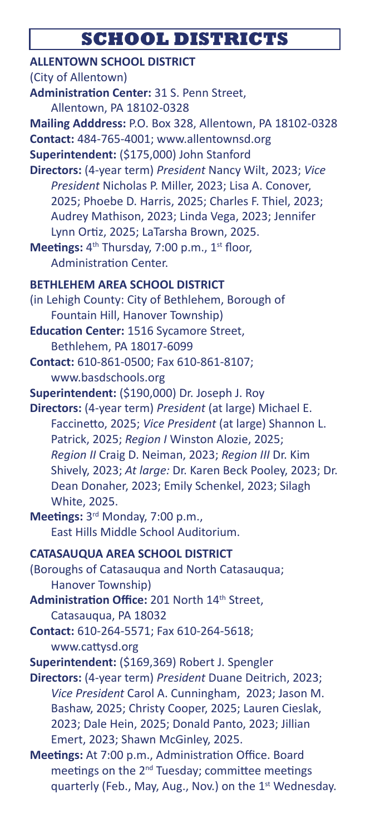# **SCHOOL DISTRICTS**

| <b>ALLENTOWN SCHOOL DISTRICT</b>                                                                                                                                                                                                                                                                                                                                                     |
|--------------------------------------------------------------------------------------------------------------------------------------------------------------------------------------------------------------------------------------------------------------------------------------------------------------------------------------------------------------------------------------|
| (City of Allentown)                                                                                                                                                                                                                                                                                                                                                                  |
| Administration Center: 31 S. Penn Street,                                                                                                                                                                                                                                                                                                                                            |
| Allentown, PA 18102-0328                                                                                                                                                                                                                                                                                                                                                             |
| Mailing Adddress: P.O. Box 328, Allentown, PA 18102-0328                                                                                                                                                                                                                                                                                                                             |
| Contact: 484-765-4001; www.allentownsd.org                                                                                                                                                                                                                                                                                                                                           |
| Superintendent: (\$175,000) John Stanford                                                                                                                                                                                                                                                                                                                                            |
| Directors: (4-year term) President Nancy Wilt, 2023; Vice<br>President Nicholas P. Miller, 2023; Lisa A. Conover,<br>2025; Phoebe D. Harris, 2025; Charles F. Thiel, 2023;<br>Audrey Mathison, 2023; Linda Vega, 2023; Jennifer<br>Lynn Ortiz, 2025; LaTarsha Brown, 2025.<br>Meetings: 4 <sup>th</sup> Thursday, 7:00 p.m., 1 <sup>st</sup> floor,<br><b>Administration Center.</b> |
| <b>BETHLEHEM AREA SCHOOL DISTRICT</b>                                                                                                                                                                                                                                                                                                                                                |
| (in Lehigh County: City of Bethlehem, Borough of                                                                                                                                                                                                                                                                                                                                     |
| Fountain Hill, Hanover Township)                                                                                                                                                                                                                                                                                                                                                     |
| <b>Education Center: 1516 Sycamore Street,</b>                                                                                                                                                                                                                                                                                                                                       |
| Bethlehem, PA 18017-6099                                                                                                                                                                                                                                                                                                                                                             |
| Contact: 610-861-0500; Fax 610-861-8107;                                                                                                                                                                                                                                                                                                                                             |
| www.basdschools.org                                                                                                                                                                                                                                                                                                                                                                  |
| Superintendent: (\$190,000) Dr. Joseph J. Roy                                                                                                                                                                                                                                                                                                                                        |
| Directors: (4-year term) President (at large) Michael E.<br>Faccinetto, 2025; Vice President (at large) Shannon L.<br>Patrick, 2025; Region I Winston Alozie, 2025;<br>Region II Craig D. Neiman, 2023; Region III Dr. Kim<br>Shively, 2023; At large: Dr. Karen Beck Pooley, 2023; Dr.<br>Dean Donaher, 2023; Emily Schenkel, 2023; Silagh<br>White, 2025.                          |
| Meetings: 3rd Monday, 7:00 p.m.,                                                                                                                                                                                                                                                                                                                                                     |
| East Hills Middle School Auditorium.                                                                                                                                                                                                                                                                                                                                                 |
| <b>CATASAUQUA AREA SCHOOL DISTRICT</b>                                                                                                                                                                                                                                                                                                                                               |
| (Boroughs of Catasauqua and North Catasauqua;                                                                                                                                                                                                                                                                                                                                        |
| Hanover Township)                                                                                                                                                                                                                                                                                                                                                                    |
| Administration Office: 201 North 14th Street,                                                                                                                                                                                                                                                                                                                                        |
| Catasauqua, PA 18032                                                                                                                                                                                                                                                                                                                                                                 |
| Contact: 610-264-5571; Fax 610-264-5618;                                                                                                                                                                                                                                                                                                                                             |
| www.cattysd.org                                                                                                                                                                                                                                                                                                                                                                      |
| Superintendent: (\$169,369) Robert J. Spengler                                                                                                                                                                                                                                                                                                                                       |
| Directors: (4-year term) President Duane Deitrich, 2023;                                                                                                                                                                                                                                                                                                                             |
| Vice President Carol A. Cunningham, 2023; Jason M.<br>Bashaw, 2025; Christy Cooper, 2025; Lauren Cieslak,<br>2023; Dale Hein, 2025; Donald Panto, 2023; Jillian<br>Emert, 2023; Shawn McGinley, 2025.                                                                                                                                                                                |
| Meetings: At 7:00 p.m., Administration Office. Board                                                                                                                                                                                                                                                                                                                                 |
| meetings on the 2 <sup>nd</sup> Tuesday; committee meetings<br>quarterly (Feb., May, Aug., Nov.) on the 1st Wednesday.                                                                                                                                                                                                                                                               |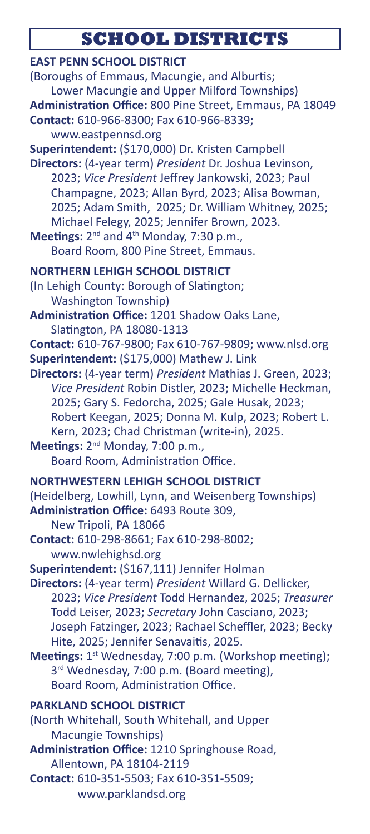# **SCHOOL DISTRICTS**

| <b>EAST PENN SCHOOL DISTRICT</b><br>(Boroughs of Emmaus, Macungie, and Alburtis;<br>Lower Macungie and Upper Milford Townships)<br>Administration Office: 800 Pine Street, Emmaus, PA 18049<br>Contact: 610-966-8300; Fax 610-966-8339;<br>www.eastpennsd.org<br>Superintendent: (\$170,000) Dr. Kristen Campbell<br>Directors: (4-year term) President Dr. Joshua Levinson,<br>2023; Vice President Jeffrey Jankowski, 2023; Paul<br>Champagne, 2023; Allan Byrd, 2023; Alisa Bowman,<br>2025; Adam Smith, 2025; Dr. William Whitney, 2025;<br>Michael Felegy, 2025; Jennifer Brown, 2023.<br>Meetings: 2 <sup>nd</sup> and 4 <sup>th</sup> Monday, 7:30 p.m.,<br>Board Room, 800 Pine Street, Emmaus. |
|---------------------------------------------------------------------------------------------------------------------------------------------------------------------------------------------------------------------------------------------------------------------------------------------------------------------------------------------------------------------------------------------------------------------------------------------------------------------------------------------------------------------------------------------------------------------------------------------------------------------------------------------------------------------------------------------------------|
| <b>NORTHERN LEHIGH SCHOOL DISTRICT</b><br>(In Lehigh County: Borough of Slatington;<br><b>Washington Township)</b>                                                                                                                                                                                                                                                                                                                                                                                                                                                                                                                                                                                      |
| Administration Office: 1201 Shadow Oaks Lane,<br>Slatington, PA 18080-1313<br>Contact: 610-767-9800; Fax 610-767-9809; www.nlsd.org<br>Superintendent: (\$175,000) Mathew J. Link<br>Directors: (4-year term) President Mathias J. Green, 2023;<br>Vice President Robin Distler, 2023; Michelle Heckman,<br>2025; Gary S. Fedorcha, 2025; Gale Husak, 2023;<br>Robert Keegan, 2025; Donna M. Kulp, 2023; Robert L.<br>Kern, 2023; Chad Christman (write-in), 2025.<br>Meetings: 2 <sup>nd</sup> Monday, 7:00 p.m.,<br>Board Room, Administration Office.                                                                                                                                                |
| <b>NORTHWESTERN LEHIGH SCHOOL DISTRICT</b><br>(Heidelberg, Lowhill, Lynn, and Weisenberg Townships)<br>Administration Office: 6493 Route 309,<br>New Tripoli, PA 18066<br>Contact: 610-298-8661; Fax 610-298-8002;                                                                                                                                                                                                                                                                                                                                                                                                                                                                                      |
| www.nwlehighsd.org<br>Superintendent: (\$167,111) Jennifer Holman<br>Directors: (4-year term) President Willard G. Dellicker,<br>2023; Vice President Todd Hernandez, 2025; Treasurer<br>Todd Leiser, 2023; Secretary John Casciano, 2023;<br>Joseph Fatzinger, 2023; Rachael Scheffler, 2023; Becky<br>Hite, 2025; Jennifer Senavaitis, 2025.<br>Meetings: 1st Wednesday, 7:00 p.m. (Workshop meeting);<br>3rd Wednesday, 7:00 p.m. (Board meeting),<br>Board Room, Administration Office.                                                                                                                                                                                                             |
| <b>PARKLAND SCHOOL DISTRICT</b><br>(North Whitehall, South Whitehall, and Upper<br>Macungie Townships)<br>Administration Office: 1210 Springhouse Road,<br>Allentown, PA 18104-2119<br>Contact: 610-351-5503; Fax 610-351-5509;<br>www.parklandsd.org                                                                                                                                                                                                                                                                                                                                                                                                                                                   |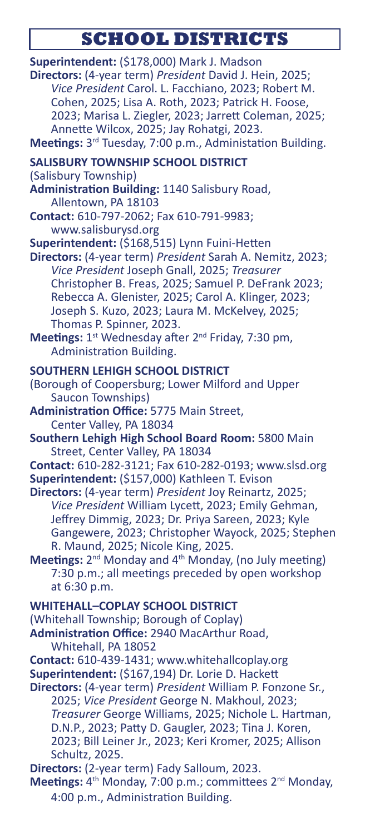# **SCHOOL DISTRICTS**

| Superintendent: (\$178,000) Mark J. Madson<br>Directors: (4-year term) President David J. Hein, 2025;<br>Vice President Carol. L. Facchiano, 2023; Robert M.<br>Cohen, 2025; Lisa A. Roth, 2023; Patrick H. Foose,<br>2023; Marisa L. Ziegler, 2023; Jarrett Coleman, 2025;<br>Annette Wilcox, 2025; Jay Rohatgi, 2023.<br>Meetings: 3rd Tuesday, 7:00 p.m., Administation Building. |
|--------------------------------------------------------------------------------------------------------------------------------------------------------------------------------------------------------------------------------------------------------------------------------------------------------------------------------------------------------------------------------------|
| <b>SALISBURY TOWNSHIP SCHOOL DISTRICT</b>                                                                                                                                                                                                                                                                                                                                            |
| (Salisbury Township)                                                                                                                                                                                                                                                                                                                                                                 |
| Administration Building: 1140 Salisbury Road,                                                                                                                                                                                                                                                                                                                                        |
| Allentown, PA 18103<br>Contact: 610-797-2062; Fax 610-791-9983;                                                                                                                                                                                                                                                                                                                      |
| www.salisburysd.org                                                                                                                                                                                                                                                                                                                                                                  |
| Superintendent: (\$168,515) Lynn Fuini-Hetten<br>Directors: (4-year term) President Sarah A. Nemitz, 2023;<br>Vice President Joseph Gnall, 2025; Treasurer<br>Christopher B. Freas, 2025; Samuel P. DeFrank 2023;<br>Rebecca A. Glenister, 2025; Carol A. Klinger, 2023;<br>Joseph S. Kuzo, 2023; Laura M. McKelvey, 2025;<br>Thomas P. Spinner, 2023.                               |
| Meetings: 1st Wednesday after 2 <sup>nd</sup> Friday, 7:30 pm,<br>Administration Building.                                                                                                                                                                                                                                                                                           |
| SOUTHERN LEHIGH SCHOOL DISTRICT                                                                                                                                                                                                                                                                                                                                                      |
| (Borough of Coopersburg; Lower Milford and Upper<br>Saucon Townships)                                                                                                                                                                                                                                                                                                                |
| Administration Office: 5775 Main Street,                                                                                                                                                                                                                                                                                                                                             |
| Center Valley, PA 18034                                                                                                                                                                                                                                                                                                                                                              |
| Southern Lehigh High School Board Room: 5800 Main<br>Street, Center Valley, PA 18034                                                                                                                                                                                                                                                                                                 |
| Contact: 610-282-3121; Fax 610-282-0193; www.slsd.org                                                                                                                                                                                                                                                                                                                                |
| Superintendent: (\$157,000) Kathleen T. Evison<br>Directors: (4-year term) President Joy Reinartz, 2025;                                                                                                                                                                                                                                                                             |
| Vice President William Lycett, 2023; Emily Gehman,<br>Jeffrey Dimmig, 2023; Dr. Priya Sareen, 2023; Kyle<br>Gangewere, 2023; Christopher Wayock, 2025; Stephen<br>R. Maund, 2025; Nicole King, 2025.<br>Meetings: 2 <sup>nd</sup> Monday and 4 <sup>th</sup> Monday, (no July meeting)                                                                                               |
| 7:30 p.m.; all meetings preceded by open workshop<br>at 6:30 p.m.                                                                                                                                                                                                                                                                                                                    |
| <b>WHITEHALL-COPLAY SCHOOL DISTRICT</b>                                                                                                                                                                                                                                                                                                                                              |
| (Whitehall Township; Borough of Coplay)<br>Administration Office: 2940 MacArthur Road,<br>Whitehall, PA 18052                                                                                                                                                                                                                                                                        |
| Contact: 610-439-1431; www.whitehallcoplay.org                                                                                                                                                                                                                                                                                                                                       |
| Superintendent: (\$167,194) Dr. Lorie D. Hackett                                                                                                                                                                                                                                                                                                                                     |
| Directors: (4-year term) President William P. Fonzone Sr.,<br>2025; Vice President George N. Makhoul, 2023;<br>Treasurer George Williams, 2025; Nichole L. Hartman,<br>D.N.P., 2023; Patty D. Gaugler, 2023; Tina J. Koren,<br>2023; Bill Leiner Jr., 2023; Keri Kromer, 2025; Allison<br>Schultz, 2025.                                                                             |
| Directors: (2-year term) Fady Salloum, 2023.                                                                                                                                                                                                                                                                                                                                         |
| Meetings: 4 <sup>th</sup> Monday, 7:00 p.m.; committees 2 <sup>nd</sup> Monday,<br>4:00 p.m., Administration Building.                                                                                                                                                                                                                                                               |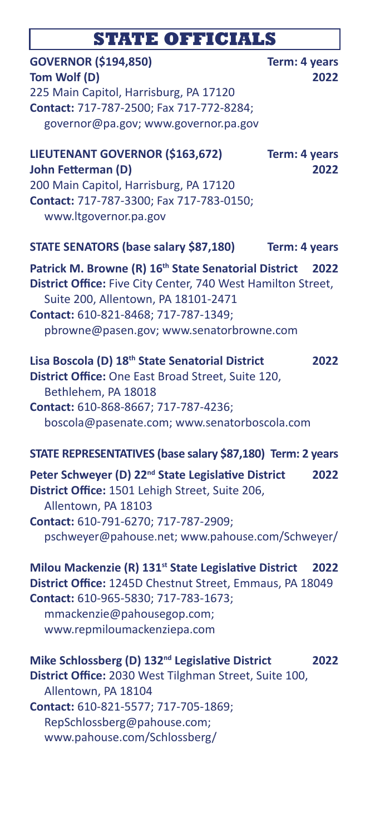### **STATE OFFICIALS**

### **GOVERNOR (\$194,850) Term: 4 years Tom Wolf (D) 2022** 225 Main Capitol, Harrisburg, PA 17120 **Contact:** 717-787-2500; Fax 717-772-8284; governor@pa.gov; www.governor.pa.gov

### **LIEUTENANT GOVERNOR (\$163,672) Term: 4 years John Fetterman (D) 2022** 200 Main Capitol, Harrisburg, PA 17120 **Contact:** 717-787-3300; Fax 717-783-0150; www.ltgovernor.pa.gov **STATE SENATORS (base salary \$87,180) Term: 4 years Patrick M. Browne (R) 16th State Senatorial District 2022 District Office:** Five City Center, 740 West Hamilton Street, Suite 200, Allentown, PA 18101-2471 **Contact:** 610-821-8468; 717-787-1349; pbrowne@pasen.gov; www.senatorbrowne.com

### **Lisa Boscola (D) 18th State Senatorial District 2022**

**District Office:** One East Broad Street, Suite 120, Bethlehem, PA 18018 **Contact:** 610-868-8667; 717-787-4236; boscola@pasenate.com; www.senatorboscola.com

#### **STATE REPRESENTATIVES (base salary \$87,180) Term: 2 years**

**Peter Schweyer (D) 22nd State Legislative District 2022 District Office:** 1501 Lehigh Street, Suite 206, Allentown, PA 18103 **Contact:** 610-791-6270; 717-787-2909; pschweyer@pahouse.net; www.pahouse.com/Schweyer/

**Milou Mackenzie (R) 131st State Legislative District 2022 District Office:** 1245D Chestnut Street, Emmaus, PA 18049 **Contact:** 610-965-5830; 717-783-1673; mmackenzie@pahousegop.com; www.repmiloumackenziepa.com

**Mike Schlossberg (D) 132nd Legislative District 2022 District Office:** 2030 West Tilghman Street, Suite 100, Allentown, PA 18104 **Contact:** 610-821-5577; 717-705-1869; RepSchlossberg@pahouse.com; www.pahouse.com/Schlossberg/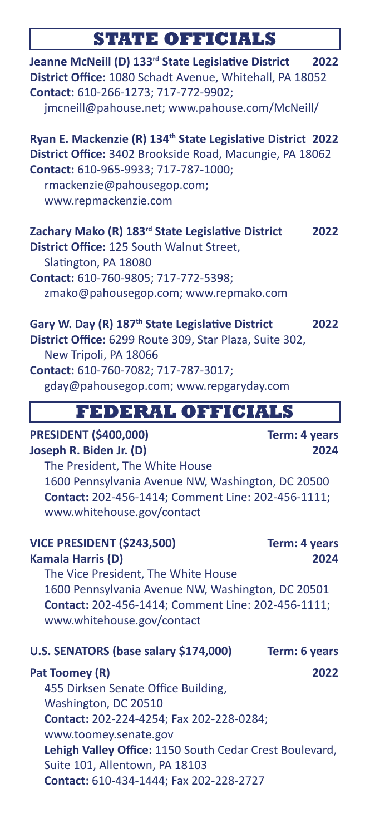# **STATE OFFICIALS**

I

| Jeanne McNeill (D) 133rd State Legislative District<br>District Office: 1080 Schadt Avenue, Whitehall, PA 18052<br>Contact: 610-266-1273; 717-772-9902;<br>jmcneill@pahouse.net; www.pahouse.com/McNeill/                                     | 2022                  |
|-----------------------------------------------------------------------------------------------------------------------------------------------------------------------------------------------------------------------------------------------|-----------------------|
| Ryan E. Mackenzie (R) 134 <sup>th</sup> State Legislative District 2022<br>District Office: 3402 Brookside Road, Macungie, PA 18062<br>Contact: 610-965-9933; 717-787-1000;<br>rmackenzie@pahousegop.com;<br>www.repmackenzie.com             |                       |
| Zachary Mako (R) 183rd State Legislative District<br>District Office: 125 South Walnut Street,<br>Slatington, PA 18080<br>Contact: 610-760-9805; 717-772-5398;<br>zmako@pahousegop.com; www.repmako.com                                       | 2022                  |
| Gary W. Day (R) 187 <sup>th</sup> State Legislative District<br>District Office: 6299 Route 309, Star Plaza, Suite 302,<br>New Tripoli, PA 18066<br>Contact: 610-760-7082; 717-787-3017;<br>gday@pahousegop.com; www.repgaryday.com           | 2022                  |
| <b>FEDERAL OFFICIALS</b>                                                                                                                                                                                                                      |                       |
|                                                                                                                                                                                                                                               |                       |
| <b>PRESIDENT (\$400,000)</b><br>Joseph R. Biden Jr. (D)<br>The President, The White House                                                                                                                                                     | Term: 4 years<br>2024 |
| 1600 Pennsylvania Avenue NW, Washington, DC 20500<br>Contact: 202-456-1414; Comment Line: 202-456-1111;<br>www.whitehouse.gov/contact                                                                                                         |                       |
| <b>VICE PRESIDENT (\$243,500)</b><br><b>Kamala Harris (D)</b><br>The Vice President, The White House<br>1600 Pennsylvania Avenue NW, Washington, DC 20501<br>Contact: 202-456-1414; Comment Line: 202-456-1111;<br>www.whitehouse.gov/contact | Term: 4 years<br>2024 |
|                                                                                                                                                                                                                                               |                       |
| U.S. SENATORS (base salary \$174,000)                                                                                                                                                                                                         | Term: 6 years         |
| Pat Toomey (R)<br>455 Dirksen Senate Office Building,<br>Washington, DC 20510<br>Contact: 202-224-4254; Fax 202-228-0284;<br>www.toomey.senate.gov<br>Lehigh Valley Office: 1150 South Cedar Crest Boulevard,                                 | 2022                  |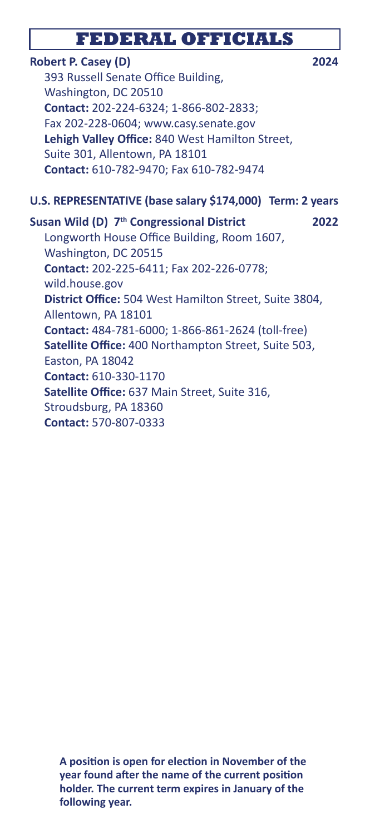### **FEDERAL OFFICIALS**

### **Robert P. Casey (D) 2024**

 393 Russell Senate Office Building, Washington, DC 20510 **Contact:** 202-224-6324; 1-866-802-2833; Fax 202-228-0604; www.casy.senate.gov **Lehigh Valley Office:** 840 West Hamilton Street, Suite 301, Allentown, PA 18101 **Contact:** 610-782-9470; Fax 610-782-9474

### **U.S. REPRESENTATIVE (base salary \$174,000) Term: 2 years**

#### **Susan Wild (D) 7th Congressional District 2022**

 Longworth House Office Building, Room 1607, Washington, DC 20515 **Contact:** 202-225-6411; Fax 202-226-0778; wild.house.gov **District Office:** 504 West Hamilton Street, Suite 3804, Allentown, PA 18101 **Contact:** 484-781-6000; 1-866-861-2624 (toll-free) **Satellite Office:** 400 Northampton Street, Suite 503, Easton, PA 18042 **Contact:** 610-330-1170 **Satellite Office:** 637 Main Street, Suite 316, Stroudsburg, PA 18360 **Contact:** 570-807-0333